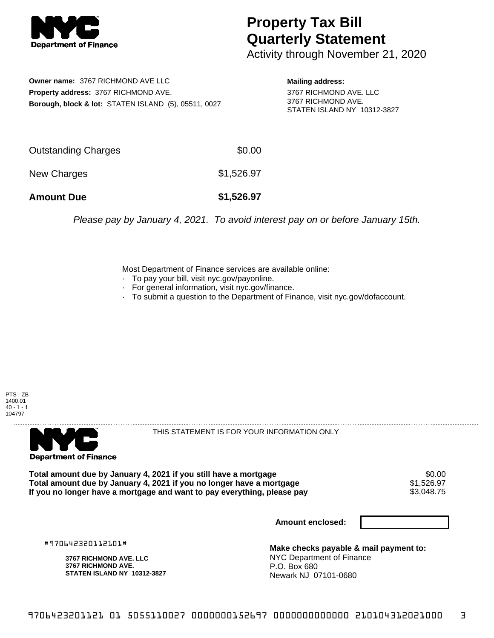

## **Property Tax Bill Quarterly Statement**

Activity through November 21, 2020

**Owner name:** 3767 RICHMOND AVE LLC **Property address:** 3767 RICHMOND AVE. **Borough, block & lot:** STATEN ISLAND (5), 05511, 0027 **Mailing address:**

3767 RICHMOND AVE. LLC 3767 RICHMOND AVE. STATEN ISLAND NY 10312-3827

| <b>Amount Due</b>   | \$1,526.97 |
|---------------------|------------|
| New Charges         | \$1,526.97 |
| Outstanding Charges | \$0.00     |

Please pay by January 4, 2021. To avoid interest pay on or before January 15th.

Most Department of Finance services are available online:

- · To pay your bill, visit nyc.gov/payonline.
- For general information, visit nyc.gov/finance.
- · To submit a question to the Department of Finance, visit nyc.gov/dofaccount.





THIS STATEMENT IS FOR YOUR INFORMATION ONLY

Total amount due by January 4, 2021 if you still have a mortgage \$0.00<br>Total amount due by January 4, 2021 if you no longer have a mortgage \$1.526.97 **Total amount due by January 4, 2021 if you no longer have a mortgage**  $$1,526.97$ **<br>If you no longer have a mortgage and want to pay everything, please pay**  $$3,048.75$ If you no longer have a mortgage and want to pay everything, please pay

**Amount enclosed:**

#970642320112101#

**3767 RICHMOND AVE. LLC 3767 RICHMOND AVE. STATEN ISLAND NY 10312-3827**

**Make checks payable & mail payment to:** NYC Department of Finance P.O. Box 680 Newark NJ 07101-0680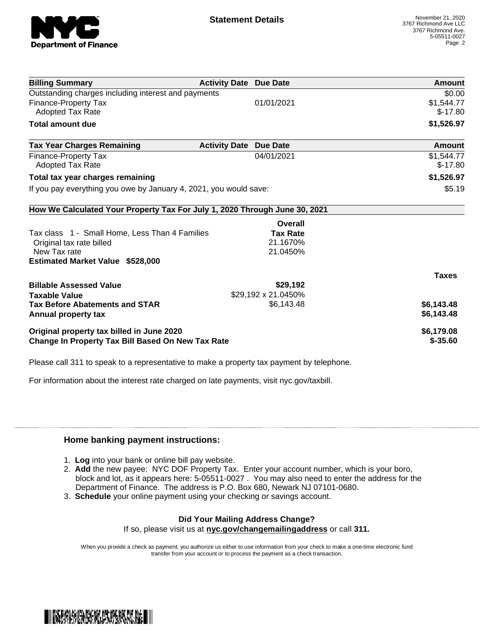

| <b>Billing Summary</b>                                                     | <b>Activity Date Due Date</b> |                     | Amount        |
|----------------------------------------------------------------------------|-------------------------------|---------------------|---------------|
| Outstanding charges including interest and payments                        |                               |                     | \$0.00        |
| <b>Finance-Property Tax</b>                                                |                               | 01/01/2021          | \$1,544.77    |
| <b>Adopted Tax Rate</b>                                                    |                               |                     | $$-17.80$     |
| <b>Total amount due</b>                                                    |                               |                     | \$1,526.97    |
| <b>Tax Year Charges Remaining</b>                                          | <b>Activity Date Due Date</b> |                     | <b>Amount</b> |
| <b>Finance-Property Tax</b>                                                |                               | 04/01/2021          | \$1,544.77    |
| <b>Adopted Tax Rate</b>                                                    |                               |                     | $$-17.80$     |
| Total tax year charges remaining                                           |                               |                     | \$1,526.97    |
| If you pay everything you owe by January 4, 2021, you would save:          |                               |                     | \$5.19        |
| How We Calculated Your Property Tax For July 1, 2020 Through June 30, 2021 |                               |                     |               |
|                                                                            |                               | Overall             |               |
| Tax class 1 - Small Home, Less Than 4 Families                             |                               | <b>Tax Rate</b>     |               |
| Original tax rate billed                                                   |                               | 21.1670%            |               |
| New Tax rate                                                               |                               | 21.0450%            |               |
| <b>Estimated Market Value \$528,000</b>                                    |                               |                     |               |
|                                                                            |                               |                     | <b>Taxes</b>  |
| <b>Billable Assessed Value</b>                                             |                               | \$29,192            |               |
| <b>Taxable Value</b>                                                       |                               | \$29,192 x 21.0450% |               |
| <b>Tax Before Abatements and STAR</b>                                      |                               | \$6,143.48          | \$6,143.48    |
| Annual property tax                                                        |                               |                     | \$6,143.48    |
| Original property tax billed in June 2020                                  |                               |                     | \$6,179.08    |
| <b>Change In Property Tax Bill Based On New Tax Rate</b>                   |                               |                     | $$ -35.60$    |

Please call 311 to speak to a representative to make a property tax payment by telephone.

For information about the interest rate charged on late payments, visit nyc.gov/taxbill.

## **Home banking payment instructions:**

- 1. **Log** into your bank or online bill pay website.
- 2. **Add** the new payee: NYC DOF Property Tax. Enter your account number, which is your boro, block and lot, as it appears here: 5-05511-0027 . You may also need to enter the address for the Department of Finance. The address is P.O. Box 680, Newark NJ 07101-0680.
- 3. **Schedule** your online payment using your checking or savings account.

## **Did Your Mailing Address Change?**

If so, please visit us at **nyc.gov/changemailingaddress** or call **311.**

When you provide a check as payment, you authorize us either to use information from your check to make a one-time electronic fund transfer from your account or to process the payment as a check transaction.